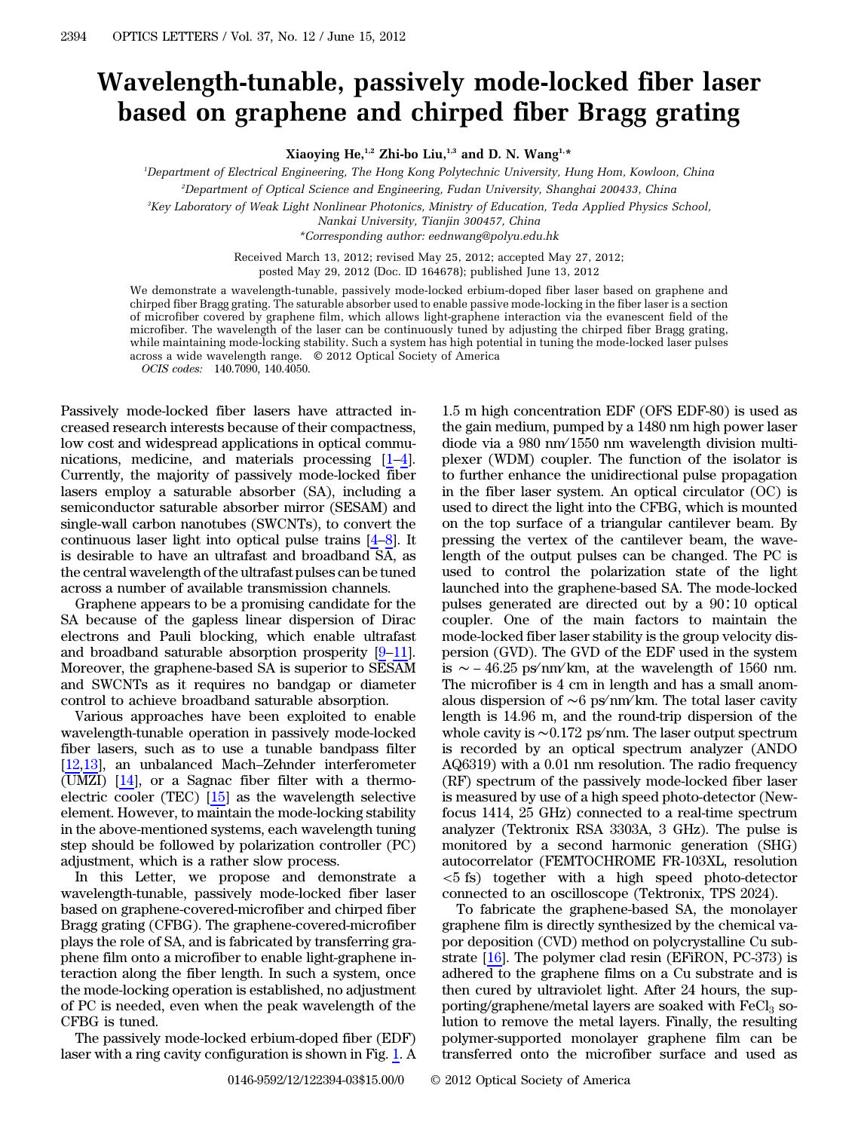## Wavelength-tunable, passively mode-locked fiber laser based on graphene and chirped fiber Bragg grating

Xiaoying He,<sup>1,2</sup> Zhi-bo Liu,<sup>1,3</sup> and D. N. Wang<sup>1,\*</sup>

1 Department of Electrical Engineering, The Hong Kong Polytechnic University, Hung Hom, Kowloon, China

2 Department of Optical Science and Engineering, Fudan University, Shanghai 200433, China

3 Key Laboratory of Weak Light Nonlinear Photonics, Ministry of Education, Teda Applied Physics School,

Nankai University, Tianjin 300457, China

\*Corresponding author: eednwang@polyu.edu.hk

Received March 13, 2012; revised May 25, 2012; accepted May 27, 2012;

posted May 29, 2012 (Doc. ID 164678); published June 13, 2012

We demonstrate a wavelength-tunable, passively mode-locked erbium-doped fiber laser based on graphene and chirped fiber Bragg grating. The saturable absorber used to enable passive mode-locking in the fiber laser is a section of microfiber covered by graphene film, which allows light-graphene interaction via the evanescent field of the microfiber. The wavelength of the laser can be continuously tuned by adjusting the chirped fiber Bragg grating, while maintaining mode-locking stability. Such a system has high potential in tuning the mode-locked laser pulses across a wide wavelength range. © 2012 Optical Society of America

OCIS codes: 140.7090, 140.4050.

Passively mode-locked fiber lasers have attracted increased research interests because of their compactness, low cost and widespread applications in optical commu-Passively mode-locked fiber lasers have attracted increased research interests because of their compactness, low cost and widespread applications in optical communications, medicine, and materials processing  $[1-4]$  $[1-4]$  $[1-4]$  $[1-4]$ . Currently, the majority of passively mode-locked fiber between the majority of passively mode focked moet lasers employ a saturable absorber (SA), including a semiconductor saturable absorber mirror (SESAM) and single-wall carbon nanotubes (SWCNTs), to convert the continuous l semiconductor saturable absorber mirror (SESAM) and single-wall carbon nanotubes (SWCNTs), to convert the is desirable to have an ultrafast and broadband SA, as the central wavelength of the ultrafast pulses can be tuned across a number of available transmission channels.

Graphene appears to be a promising candidate for the SA because of the gapless linear dispersion of Dirac electrons and Pauli blocking, which enable ultrafast and broadband saturable absorption prosperity  $[9-11]$  $[9-11]$  $[9-11]$  $[9-11]$ . SA because of the gapless linear dispersion of Dirac electrons and Pauli blocking, which enable ultrafast Moreover, the graphene-based SA is superior to SESAM and SWCNTs as it requires no bandgap or diameter control to achieve broadband saturable absorption.

Various approaches have been exploited to enable wavelength-tunable operation in passively mode-locked fiber lasers, such as to use a tunable bandpass filter  $\frac{1}{2}$  various approaches have been exploited to enable<br>wavelength-tunable operation in passively mode-locked<br>fiber lasers, such as to use a tunable bandpass filter<br>[\[12](#page-2-5),[13\]](#page-2-6), an unbalanced Mach–Zehnder interferometer (UMZI) [[14\]](#page-2-7), or a Sagnac fiber filter with a thermoelectric cooler (TEC) [[15\]](#page-2-8) as the wavelength selective element. However, to maintain the mode-locking stability in the above-mentioned systems, each wavelength tuning step should be followed by polarization controller (PC) adjustment, which is a rather slow process.

In this Letter, we propose and demonstrate a wavelength-tunable, passively mode-locked fiber laser based on graphene-covered-microfiber and chirped fiber Bragg grating (CFBG). The graphene-covered-microfiber plays the role of SA, and is fabricated by transferring graphene film onto a microfiber to enable light-graphene interaction along the fiber length. In such a system, once the mode-locking operation is established, no adjustment of PC is needed, even when the peak wavelength of the CFBG is tuned.

The passively mode-locked erbium-doped fiber (EDF) laser with a ring cavity configuration is shown in Fig. [1.](#page-1-0) A

1.5 m high concentration EDF (OFS EDF-80) is used as the gain medium, pumped by a 1480 nm high power laser diode via a 980 nm∕ 1550 nm wavelength division multiplexer (WDM) coupler. The function of the isolator is to further enhance the unidirectional pulse propagation in the fiber laser system. An optical circulator (OC) is used to direct the light into the CFBG, which is mounted on the top surface of a triangular cantilever beam. By pressing the vertex of the cantilever beam, the wavelength of the output pulses can be changed. The PC is used to control the polarization state of the light launched into the graphene-based SA. The mode-locked pulses generated are directed out by a 90∶10 optical coupler. One of the main factors to maintain the mode-locked fiber laser stability is the group velocity dispersion (GVD). The GVD of the EDF used in the system is  $\sim$  –46.25 ps/nm/km, at the wavelength of 1560 nm. The microfiber is 4 cm in length and has a small anomalous dispersion of ∼6 ps∕ nm∕ km. The total laser cavity length is 14.96 m, and the round-trip dispersion of the whole cavity is ∼0.172 ps∕ nm. The laser output spectrum is recorded by an optical spectrum analyzer (ANDO AQ6319) with a 0.01 nm resolution. The radio frequency (RF) spectrum of the passively mode-locked fiber laser is measured by use of a high speed photo-detector (Newfocus 1414, 25 GHz) connected to a real-time spectrum analyzer (Tektronix RSA 3303A, 3 GHz). The pulse is monitored by a second harmonic generation (SHG) autocorrelator (FEMTOCHROME FR-103XL, resolution <5 fs) together with a high speed photo-detector connected to an oscilloscope (Tektronix, TPS 2024).

To fabricate the graphene-based SA, the monolayer graphene film is directly synthesized by the chemical vapor deposition (CVD) method on polycrystalline Cu substrate [\[16](#page-2-9)]. The polymer clad resin (EFiRON, PC-373) is adhered to the graphene films on a Cu substrate and is then cured by ultraviolet light. After 24 hours, the supporting/graphene/metal layers are soaked with  $FeCl<sub>3</sub>$  solution to remove the metal layers. Finally, the resulting polymer-supported monolayer graphene film can be transferred onto the microfiber surface and used as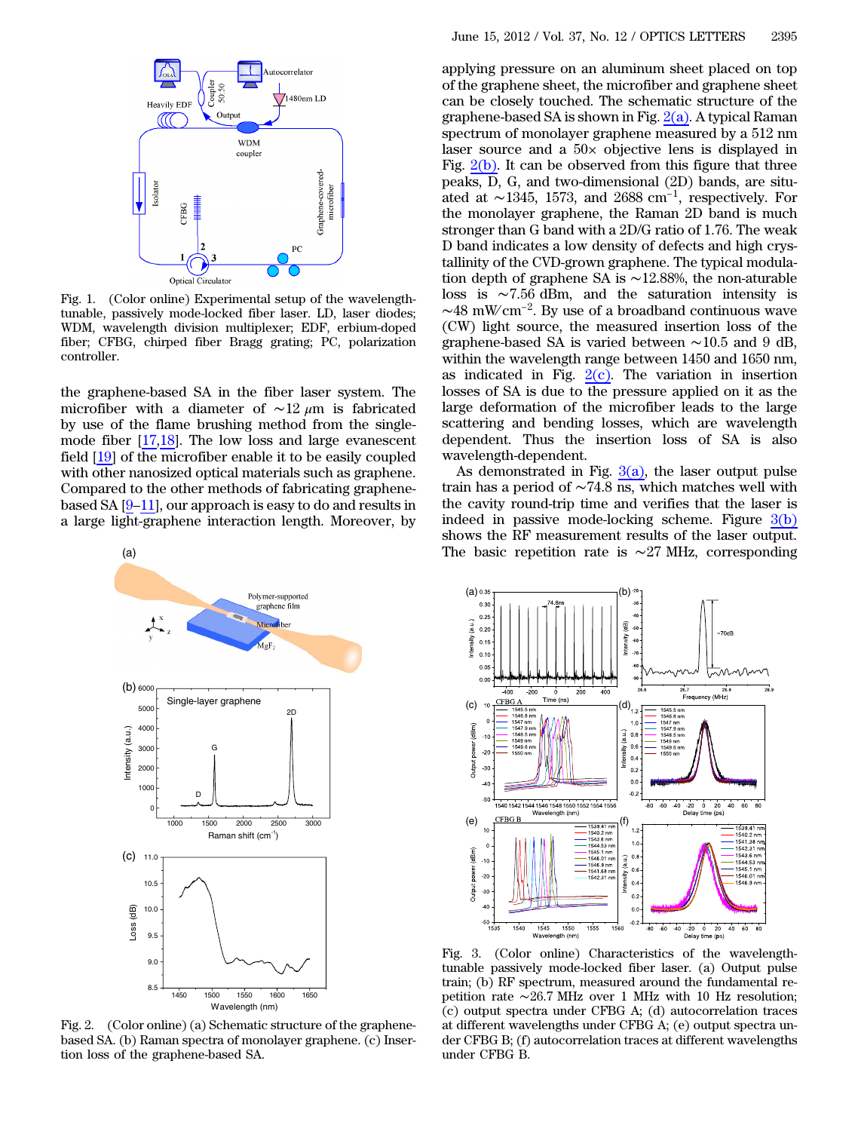<span id="page-1-0"></span>

Fig. 1. (Color online) Experimental setup of the wavelengthtunable, passively mode-locked fiber laser. LD, laser diodes; WDM, wavelength division multiplexer; EDF, erbium-doped fiber; CFBG, chirped fiber Bragg grating; PC, polarization controller.

the graphene-based SA in the fiber laser system. The microfiber with a diameter of  $\sim$ 12 μm is fabricated by use of the flame brushing method from the singlemode fiber [\[17](#page-2-10),[18\]](#page-2-11). The low loss and large evanescent field  $[19]$  $[19]$  of the microfiber enable it to be easily coupled with other nanosized optical materials such as graphene.<br>Compared to the other methods of fabricating graphene-based SA  $[9-11]$  $[9-11]$  $[9-11]$  $[9-11]$ , our approach is easy to do an with other nanosized optical materials such as graphene. Compared to the other methods of fabricating graphenea large light-graphene interaction length. Moreover, by

<span id="page-1-1"></span>

Fig. 2. (Color online) (a) Schematic structure of the graphenebased SA. (b) Raman spectra of monolayer graphene. (c) Insertion loss of the graphene-based SA.

applying pressure on an aluminum sheet placed on top of the graphene sheet, the microfiber and graphene sheet can be closely touched. The schematic structure of the graphene-based SA is shown in Fig.  $2(a)$ . A typical Raman spectrum of monolayer graphene measured by a 512 nm laser source and a 50× objective lens is displayed in Fig.  $2(b)$ . It can be observed from this figure that three peaks, D, G, and two-dimensional (2D) bands, are situated at ∼1345, 1573, and 2688 cm<sup>-1</sup>, respectively. For the monolayer graphene, the Raman 2D band is much stronger than G band with a 2D/G ratio of 1.76. The weak D band indicates a low density of defects and high crystallinity of the CVD-grown graphene. The typical modulation depth of graphene SA is ∼12.88%, the non-aturable loss is ∼7.56 dBm, and the saturation intensity is ∼48 mW∕ cm<sup>−</sup><sup>2</sup>. By use of a broadband continuous wave (CW) light source, the measured insertion loss of the graphene-based SA is varied between ∼10.5 and 9 dB, within the wavelength range between 1450 and 1650 nm, as indicated in Fig.  $2(c)$ . The variation in insertion losses of SA is due to the pressure applied on it as the large deformation of the microfiber leads to the large scattering and bending losses, which are wavelength dependent. Thus the insertion loss of SA is also wavelength-dependent.

As demonstrated in Fig.  $3(a)$ , the laser output pulse train has a period of ∼74.8 ns, which matches well with the cavity round-trip time and verifies that the laser is indeed in passive mode-locking scheme. Figure  $3(b)$ shows the RF measurement results of the laser output. The basic repetition rate is ∼27 MHz, corresponding

<span id="page-1-2"></span>

Fig. 3. (Color online) Characteristics of the wavelengthtunable passively mode-locked fiber laser. (a) Output pulse train; (b) RF spectrum, measured around the fundamental repetition rate ∼26.7 MHz over 1 MHz with 10 Hz resolution; (c) output spectra under CFBG A; (d) autocorrelation traces at different wavelengths under CFBG A; (e) output spectra under CFBG B; (f) autocorrelation traces at different wavelengths under CFBG B.